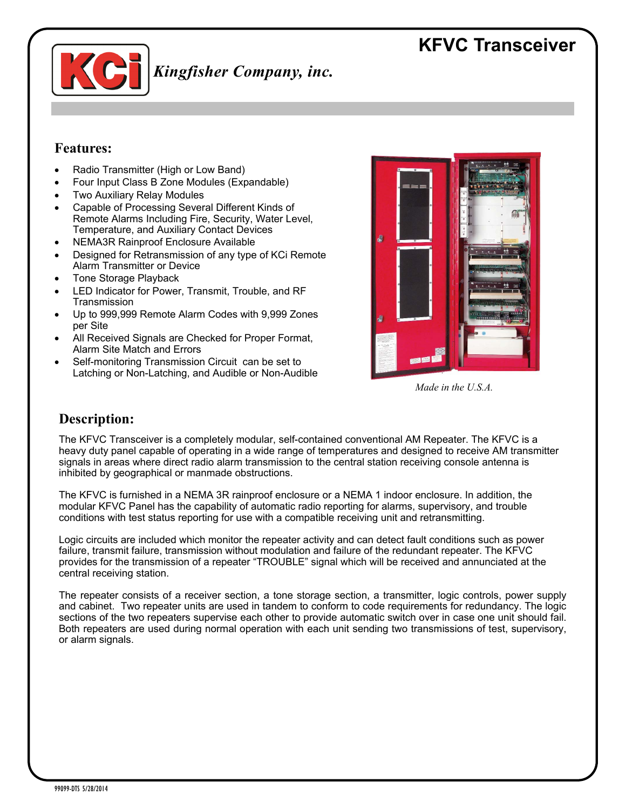# **KFVC Transceiver**



*Kingfisher Company, inc.*

## **Features:**

- Radio Transmitter (High or Low Band)
- Four Input Class B Zone Modules (Expandable)
- Two Auxiliary Relay Modules
- Capable of Processing Several Different Kinds of Remote Alarms Including Fire, Security, Water Level, Temperature, and Auxiliary Contact Devices
- NEMA3R Rainproof Enclosure Available
- Designed for Retransmission of any type of KCi Remote Alarm Transmitter or Device
- Tone Storage Playback
- LED Indicator for Power, Transmit, Trouble, and RF **Transmission**
- Up to 999,999 Remote Alarm Codes with 9,999 Zones per Site
- All Received Signals are Checked for Proper Format, Alarm Site Match and Errors
- Self-monitoring Transmission Circuit can be set to Latching or Non-Latching, and Audible or Non-Audible



*Made in the U.S.A.*

# **Description:**

The KFVC Transceiver is a completely modular, self-contained conventional AM Repeater. The KFVC is a heavy duty panel capable of operating in a wide range of temperatures and designed to receive AM transmitter signals in areas where direct radio alarm transmission to the central station receiving console antenna is inhibited by geographical or manmade obstructions.

The KFVC is furnished in a NEMA 3R rainproof enclosure or a NEMA 1 indoor enclosure. In addition, the modular KFVC Panel has the capability of automatic radio reporting for alarms, supervisory, and trouble conditions with test status reporting for use with a compatible receiving unit and retransmitting.

Logic circuits are included which monitor the repeater activity and can detect fault conditions such as power failure, transmit failure, transmission without modulation and failure of the redundant repeater. The KFVC provides for the transmission of a repeater "TROUBLE" signal which will be received and annunciated at the central receiving station.

The repeater consists of a receiver section, a tone storage section, a transmitter, logic controls, power supply and cabinet. Two repeater units are used in tandem to conform to code requirements for redundancy. The logic sections of the two repeaters supervise each other to provide automatic switch over in case one unit should fail. Both repeaters are used during normal operation with each unit sending two transmissions of test, supervisory, or alarm signals.